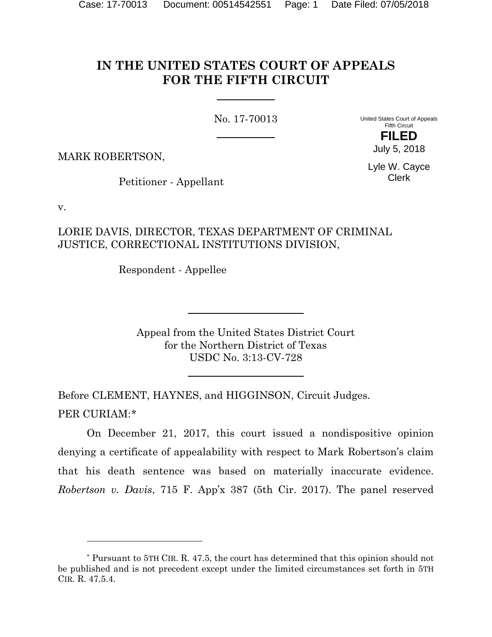## **IN THE UNITED STATES COURT OF APPEALS FOR THE FIFTH CIRCUIT**

No. 17-70013

United States Court of Appeals Fifth Circuit

> **FILED** July 5, 2018

MARK ROBERTSON,

Lyle W. Cayce Clerk

Petitioner - Appellant

v.

l

## LORIE DAVIS, DIRECTOR, TEXAS DEPARTMENT OF CRIMINAL JUSTICE, CORRECTIONAL INSTITUTIONS DIVISION,

Respondent - Appellee

Appeal from the United States District Court for the Northern District of Texas USDC No. 3:13-CV-728

Before CLEMENT, HAYNES, and HIGGINSON, Circuit Judges. PER CURIAM:[\\*](#page-0-0)

On December 21, 2017, this court issued a nondispositive opinion denying a certificate of appealability with respect to Mark Robertson's claim that his death sentence was based on materially inaccurate evidence. *Robertson v. Davis*, 715 F. App'x 387 (5th Cir. 2017). The panel reserved

<span id="page-0-0"></span><sup>\*</sup> Pursuant to 5TH CIR. R. 47.5, the court has determined that this opinion should not be published and is not precedent except under the limited circumstances set forth in 5TH CIR. R. 47.5.4.